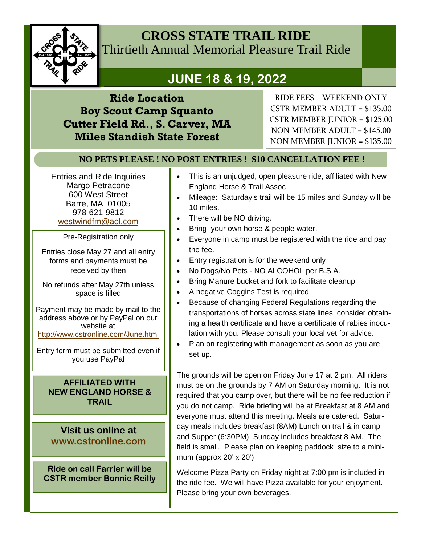

### **CROSS STATE TRAIL RIDE** Thirtieth Annual Memorial Pleasure Trail Ride

# **JUNE 18 & 19, 2022**

**Ride Location Boy Scout Camp Squanto Cutter Field Rd., S. Carver, MA Miles Standish State Forest** 

RIDE FEES—WEEKEND ONLY CSTR MEMBER ADULT = \$135.00 CSTR MEMBER JUNIOR = \$125.00 NON MEMBER ADULT = \$145.00 NON MEMBER JUNIOR = \$135.00

### **NO PETS PLEASE ! NO POST ENTRIES ! \$10 CANCELLATION FEE !**

Entries and Ride Inquiries Margo Petracone 600 West Street Barre, MA 01005 978-621-9812 westwindfm@aol.com

Pre-Registration only

Entries close May 27 and all entry forms and payments must be received by then

No refunds after May 27th unless space is filled

Payment may be made by mail to the address above or by PayPal on our website at http://www.cstronline.com/June.html

Entry form must be submitted even if you use PayPal

#### **AFFILIATED WITH NEW ENGLAND HORSE & TRAIL**

**Visit us online at www.cstronline.com**

**Ride on call Farrier will be CSTR member Bonnie Reilly** 

- This is an unjudged, open pleasure ride, affiliated with New England Horse & Trail Assoc
- Mileage: Saturday's trail will be 15 miles and Sunday will be 10 miles.
- There will be NO driving.
- Bring your own horse & people water.
- Everyone in camp must be registered with the ride and pay the fee.
- **Entry registration is for the weekend only**
- No Dogs/No Pets NO ALCOHOL per B.S.A.
- Bring Manure bucket and fork to facilitate cleanup
- A negative Coggins Test is required.
- **Because of changing Federal Regulations regarding the** transportations of horses across state lines, consider obtaining a health certificate and have a certificate of rabies inoculation with you. Please consult your local vet for advice.
- Plan on registering with management as soon as you are set up.

The grounds will be open on Friday June 17 at 2 pm. All riders must be on the grounds by 7 AM on Saturday morning. It is not required that you camp over, but there will be no fee reduction if you do not camp. Ride briefing will be at Breakfast at 8 AM and everyone must attend this meeting. Meals are catered. Saturday meals includes breakfast (8AM) Lunch on trail & in camp and Supper (6:30PM) Sunday includes breakfast 8 AM. The field is small. Please plan on keeping paddock size to a minimum (approx  $20' \times 20'$ )

Welcome Pizza Party on Friday night at 7:00 pm is included in the ride fee. We will have Pizza available for your enjoyment. Please bring your own beverages.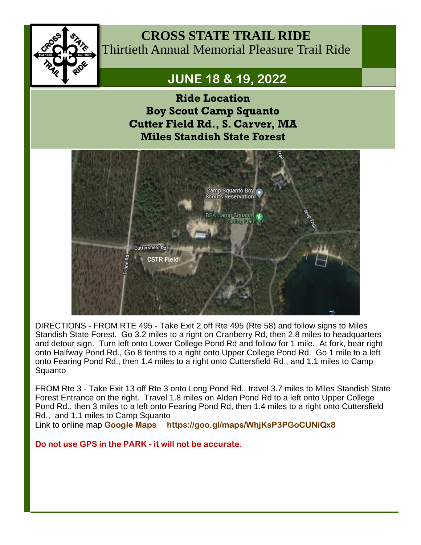

**CROSS STATE TRAIL RIDE** Thirtieth Annual Memorial Pleasure Trail Ride

## **JUNE 18 & 19, 2022**

**Ride Location Boy Scout Camp Squanto Cutter Field Rd., S. Carver, MA Miles Standish State Forest** 



DIRECTIONS - FROM RTE 495 - Take Exit 2 off Rte 495 (Rte 58) and follow signs to Miles Standish State Forest. Go 3.2 miles to a right on Cranberry Rd, then 2.8 miles to headquarters and detour sign. Turn left onto Lower College Pond Rd and follow for 1 mile. At fork, bear right onto Halfway Pond Rd., Go 8 tenths to a right onto Upper College Pond Rd. Go 1 mile to a left onto Fearing Pond Rd., then 1.4 miles to a right onto Cuttersfield Rd., and 1.1 miles to Camp Squanto

FROM Rte 3 - Take Exit 13 off Rte 3 onto Long Pond Rd., travel 3.7 miles to Miles Standish State Forest Entrance on the right. Travel 1.8 miles on Alden Pond Rd to a left onto Upper College Pond Rd., then 3 miles to a left onto Fearing Pond Rd, then 1.4 miles to a right onto Cuttersfield Rd., and 1.1 miles to Camp Squanto

Link to online map **Google Maps https://goo.gl/maps/WhjKsP3PGoCUNiQx8**

**Do not use GPS in the PARK - it will not be accurate.**